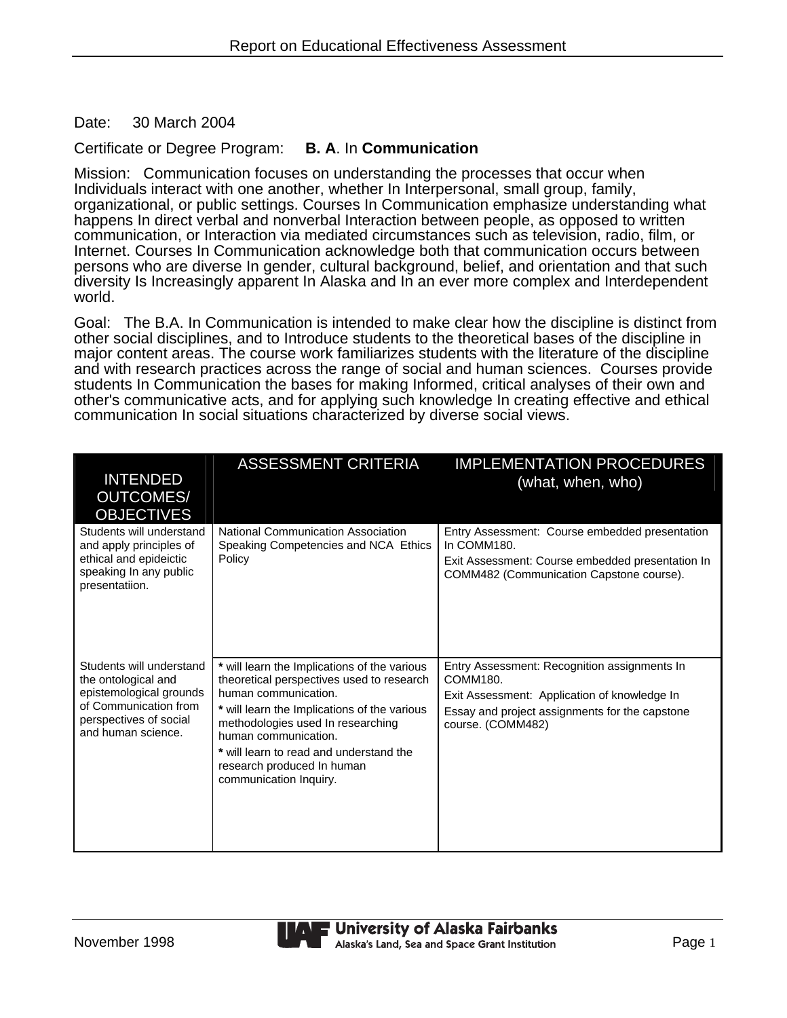Date: 30 March 2004

## Certificate or Degree Program: **B. A**. In **Communication**

Mission: Communication focuses on understanding the processes that occur when Individuals interact with one another, whether In Interpersonal, small group, family, organizational, or public settings. Courses In Communication emphasize understanding what happens In direct verbal and nonverbal Interaction between people, as opposed to written communication, or Interaction via mediated circumstances such as television, radio, film, or Internet. Courses In Communication acknowledge both that communication occurs between persons who are diverse In gender, cultural background, belief, and orientation and that such diversity Is Increasingly apparent In Alaska and In an ever more complex and Interdependent world.

Goal: The B.A. In Communication is intended to make clear how the discipline is distinct from other social disciplines, and to Introduce students to the theoretical bases of the discipline in major content areas. The course work familiarizes students with the literature of the discipline and with research practices across the range of social and human sciences. Courses provide students In Communication the bases for making Informed, critical analyses of their own and other's communicative acts, and for applying such knowledge In creating effective and ethical communication In social situations characterized by diverse social views.

| <b>INTENDED</b>                                                                                                                                     | <b>ASSESSMENT CRITERIA</b>                                                                                                                                                                                                                                                                                                        | <b>IMPLEMENTATION PROCEDURES</b><br>(what, when, who)                                                                                                                           |
|-----------------------------------------------------------------------------------------------------------------------------------------------------|-----------------------------------------------------------------------------------------------------------------------------------------------------------------------------------------------------------------------------------------------------------------------------------------------------------------------------------|---------------------------------------------------------------------------------------------------------------------------------------------------------------------------------|
| <b>OUTCOMES/</b><br><b>OBJECTIVES</b>                                                                                                               |                                                                                                                                                                                                                                                                                                                                   |                                                                                                                                                                                 |
| Students will understand<br>and apply principles of<br>ethical and epideictic<br>speaking In any public<br>presentatiion.                           | National Communication Association<br>Speaking Competencies and NCA Ethics<br>Policy                                                                                                                                                                                                                                              | Entry Assessment: Course embedded presentation<br>In COMM180.<br>Exit Assessment: Course embedded presentation In<br>COMM482 (Communication Capstone course).                   |
|                                                                                                                                                     |                                                                                                                                                                                                                                                                                                                                   |                                                                                                                                                                                 |
| Students will understand<br>the ontological and<br>epistemological grounds<br>of Communication from<br>perspectives of social<br>and human science. | * will learn the Implications of the various<br>theoretical perspectives used to research<br>human communication.<br>* will learn the Implications of the various<br>methodologies used In researching<br>human communication.<br>* will learn to read and understand the<br>research produced In human<br>communication Inquiry. | Entry Assessment: Recognition assignments In<br>COMM180.<br>Exit Assessment: Application of knowledge In<br>Essay and project assignments for the capstone<br>course. (COMM482) |